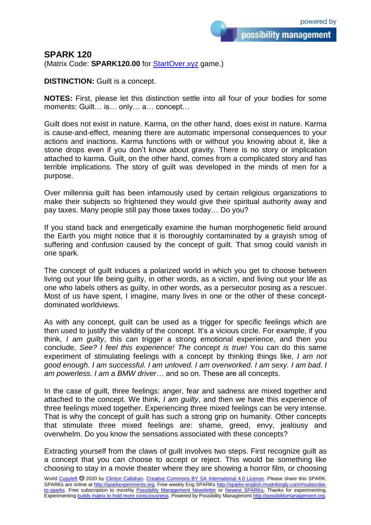possibility management

## **SPARK 120**

(Matrix Code: **SPARK120.00** for **StartOver.xyz** game.)

**DISTINCTION:** Guilt is a concept.

**NOTES:** First, please let this distinction settle into all four of your bodies for some moments: Guilt… is… only… a… concept…

Guilt does not exist in nature. Karma, on the other hand, does exist in nature. Karma is cause-and-effect, meaning there are automatic impersonal consequences to your actions and inactions. Karma functions with or without you knowing about it, like a stone drops even if you don't know about gravity. There is no story or implication attached to karma. Guilt, on the other hand, comes from a complicated story and has terrible implications. The story of guilt was developed in the minds of men for a purpose.

Over millennia guilt has been infamously used by certain religious organizations to make their subjects so frightened they would give their spiritual authority away and pay taxes. Many people still pay those taxes today… Do you?

If you stand back and energetically examine the human morphogenetic field around the Earth you might notice that it is thoroughly contaminated by a grayish smog of suffering and confusion caused by the concept of guilt. That smog could vanish in one spark.

The concept of guilt induces a polarized world in which you get to choose between living out your life being guilty, in other words, as a victim, and living out your life as one who labels others as guilty, in other words, as a persecutor posing as a rescuer. Most of us have spent, I imagine, many lives in one or the other of these conceptdominated worldviews.

As with any concept, guilt can be used as a trigger for specific feelings which are then used to justify the validity of the concept. It's a vicious circle. For example, if you think, *I am guilty*, this can trigger a strong emotional experience, and then you conclude, *See? I feel this experience! The concept is true!* You can do this same experiment of stimulating feelings with a concept by thinking things like, *I am not good enough. I am successful. I am unloved. I am overworked. I am sexy. I am bad. I am powerless. I am a BMW driver*… and so on. These are all concepts.

In the case of guilt, three feelings: anger, fear and sadness are mixed together and attached to the concept. We think, *I am guilty*, and then we have this experience of three feelings mixed together. Experiencing three mixed feelings can be very intense. That is why the concept of guilt has such a strong grip on humanity. Other concepts that stimulate three mixed feelings are: shame, greed, envy, jealousy and overwhelm. Do you know the sensations associated with these concepts?

Extracting yourself from the claws of guilt involves two steps. First recognize guilt as a concept that you can choose to accept or reject. This would be something like choosing to stay in a movie theater where they are showing a horror film, or choosing